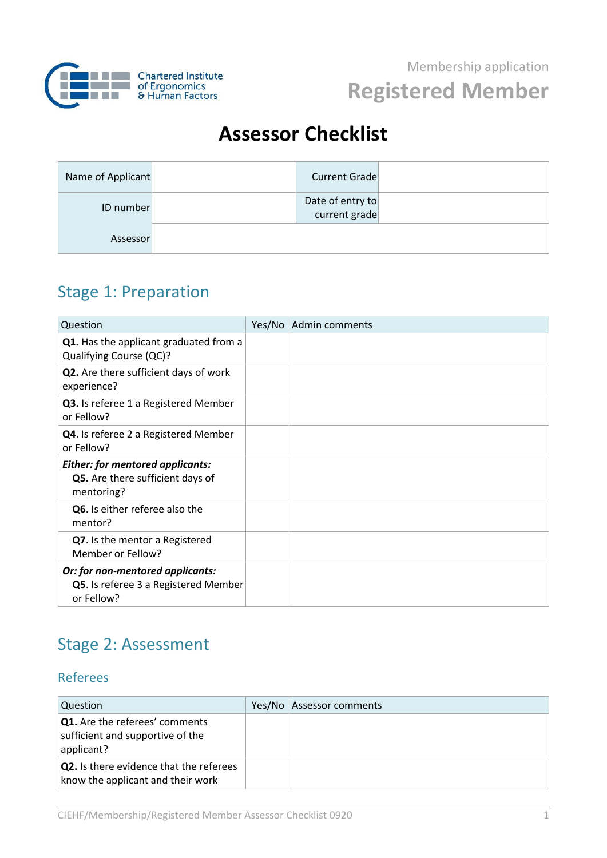

# **Assessor Checklist**

| Name of Applicant | <b>Current Grade</b>              |  |
|-------------------|-----------------------------------|--|
| ID number         | Date of entry to<br>current grade |  |
| Assessor          |                                   |  |

## Stage 1: Preparation

| Question                                                                                  | Yes/No | Admin comments |
|-------------------------------------------------------------------------------------------|--------|----------------|
| Q1. Has the applicant graduated from a<br>Qualifying Course (QC)?                         |        |                |
| Q2. Are there sufficient days of work<br>experience?                                      |        |                |
| Q3. Is referee 1 a Registered Member<br>or Fellow?                                        |        |                |
| Q4. Is referee 2 a Registered Member<br>or Fellow?                                        |        |                |
| <b>Either: for mentored applicants:</b><br>Q5. Are there sufficient days of<br>mentoring? |        |                |
| Q6. Is either referee also the<br>mentor?                                                 |        |                |
| Q7. Is the mentor a Registered<br>Member or Fellow?                                       |        |                |
| Or: for non-mentored applicants:<br>Q5. Is referee 3 a Registered Member<br>or Fellow?    |        |                |

## Stage 2: Assessment

#### Referees

| Question                                                                                | Yes/No   Assessor comments |
|-----------------------------------------------------------------------------------------|----------------------------|
| <b>Q1.</b> Are the referees' comments<br>sufficient and supportive of the<br>applicant? |                            |
| <b>Q2.</b> Is there evidence that the referees<br>know the applicant and their work     |                            |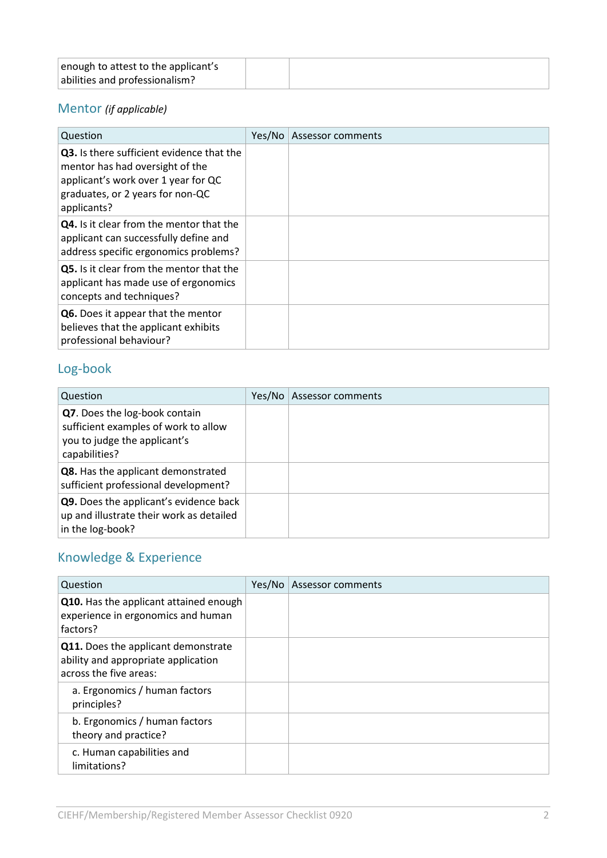| enough to attest to the applicant's |  |
|-------------------------------------|--|
| abilities and professionalism?      |  |

### Mentor *(if applicable)*

| Question                                                                                                                                                               | Yes/No | Assessor comments |
|------------------------------------------------------------------------------------------------------------------------------------------------------------------------|--------|-------------------|
| Q3. Is there sufficient evidence that the<br>mentor has had oversight of the<br>applicant's work over 1 year for QC<br>graduates, or 2 years for non-QC<br>applicants? |        |                   |
| <b>Q4.</b> Is it clear from the mentor that the<br>applicant can successfully define and<br>address specific ergonomics problems?                                      |        |                   |
| Q5. Is it clear from the mentor that the<br>applicant has made use of ergonomics<br>concepts and techniques?                                                           |        |                   |
| Q6. Does it appear that the mentor<br>believes that the applicant exhibits<br>professional behaviour?                                                                  |        |                   |

## Log-book

| Question                                                                                                               | Yes/No | Assessor comments |
|------------------------------------------------------------------------------------------------------------------------|--------|-------------------|
| Q7. Does the log-book contain<br>sufficient examples of work to allow<br>you to judge the applicant's<br>capabilities? |        |                   |
| Q8. Has the applicant demonstrated<br>sufficient professional development?                                             |        |                   |
| Q9. Does the applicant's evidence back<br>up and illustrate their work as detailed<br>in the log-book?                 |        |                   |

## Knowledge & Experience

| Question                                                                                             | Yes/No | Assessor comments |
|------------------------------------------------------------------------------------------------------|--------|-------------------|
| Q10. Has the applicant attained enough<br>experience in ergonomics and human<br>factors?             |        |                   |
| Q11. Does the applicant demonstrate<br>ability and appropriate application<br>across the five areas: |        |                   |
| a. Ergonomics / human factors<br>principles?                                                         |        |                   |
| b. Ergonomics / human factors<br>theory and practice?                                                |        |                   |
| c. Human capabilities and<br>limitations?                                                            |        |                   |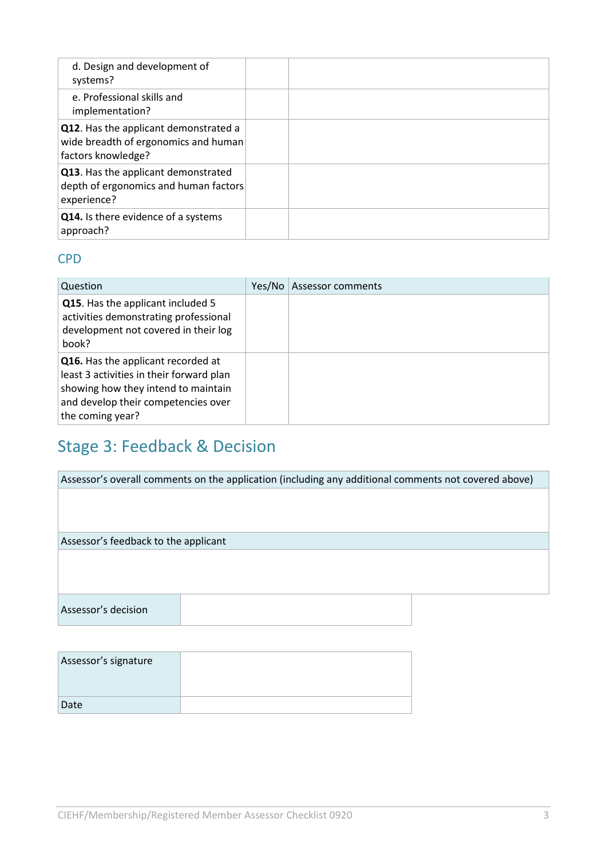| d. Design and development of<br>systems?                                                            |  |
|-----------------------------------------------------------------------------------------------------|--|
| e. Professional skills and<br>implementation?                                                       |  |
| Q12. Has the applicant demonstrated a<br>wide breadth of ergonomics and human<br>factors knowledge? |  |
| Q13. Has the applicant demonstrated<br>depth of ergonomics and human factors<br>experience?         |  |
| Q14. Is there evidence of a systems<br>approach?                                                    |  |

### CPD

| Question                                                                                                                                                                         | Yes/No | Assessor comments |
|----------------------------------------------------------------------------------------------------------------------------------------------------------------------------------|--------|-------------------|
| Q15. Has the applicant included 5<br>activities demonstrating professional<br>development not covered in their log<br>book?                                                      |        |                   |
| Q16. Has the applicant recorded at<br>least 3 activities in their forward plan<br>showing how they intend to maintain<br>and develop their competencies over<br>the coming year? |        |                   |

# Stage 3: Feedback & Decision

| Assessor's overall comments on the application (including any additional comments not covered above) |  |  |
|------------------------------------------------------------------------------------------------------|--|--|
|                                                                                                      |  |  |
|                                                                                                      |  |  |
|                                                                                                      |  |  |
| Assessor's feedback to the applicant                                                                 |  |  |
|                                                                                                      |  |  |
|                                                                                                      |  |  |
|                                                                                                      |  |  |
| Assessor's decision                                                                                  |  |  |
|                                                                                                      |  |  |
|                                                                                                      |  |  |

| Assessor's signature |  |
|----------------------|--|
|                      |  |
| Date                 |  |